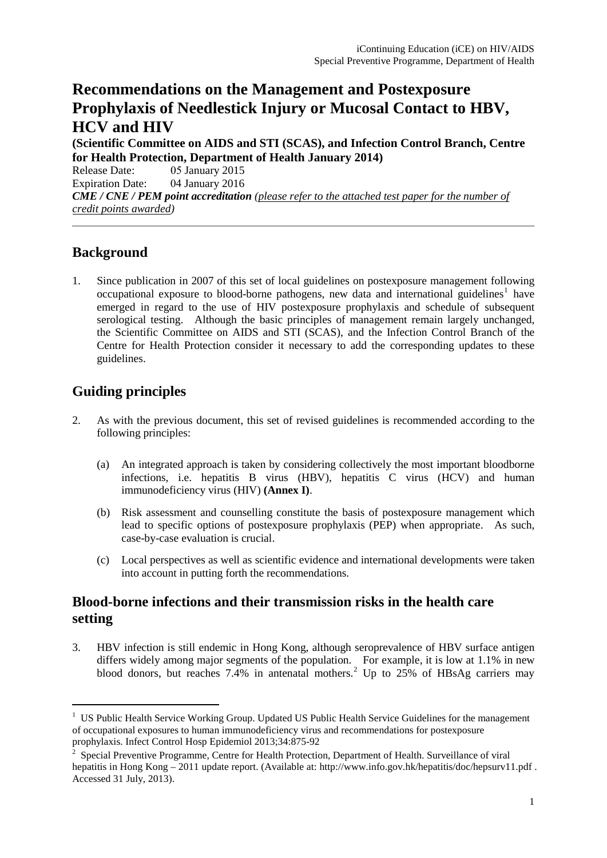# **Recommendations on the Management and Postexposure Prophylaxis of Needlestick Injury or Mucosal Contact to HBV, HCV and HIV**

**(Scientific Committee on AIDS and STI (SCAS), and Infection Control Branch, Centre for Health Protection, Department of Health January 2014)** Release Date: 05 January 2015 Expiration Date: 04 January 2016 *CME / CNE / PEM point accreditation (please refer to the attached test paper for the number of credit points awarded)* 

## **Background**

1. Since publication in 2007 of this set of local guidelines on postexposure management following occupational exposure to blood-borne pathogens, new data and international guidelines<sup>[1](#page-0-0)</sup> have emerged in regard to the use of HIV postexposure prophylaxis and schedule of subsequent serological testing. Although the basic principles of management remain largely unchanged, the Scientific Committee on AIDS and STI (SCAS), and the Infection Control Branch of the Centre for Health Protection consider it necessary to add the corresponding updates to these guidelines.

## **Guiding principles**

- 2. As with the previous document, this set of revised guidelines is recommended according to the following principles:
	- (a) An integrated approach is taken by considering collectively the most important bloodborne infections, i.e. hepatitis B virus (HBV), hepatitis C virus (HCV) and human immunodeficiency virus (HIV) **(Annex I)**.
	- (b) Risk assessment and counselling constitute the basis of postexposure management which lead to specific options of postexposure prophylaxis (PEP) when appropriate. As such, case-by-case evaluation is crucial.
	- (c) Local perspectives as well as scientific evidence and international developments were taken into account in putting forth the recommendations.

### **Blood-borne infections and their transmission risks in the health care setting**

3. HBV infection is still endemic in Hong Kong, although seroprevalence of HBV surface antigen differs widely among major segments of the population. For example, it is low at 1.1% in new blood donors, but reaches 7.4% in antenatal mothers.<sup>[2](#page-0-1)</sup> Up to 25% of HBsAg carriers may

<span id="page-0-0"></span><sup>1</sup> US Public Health Service Working Group. Updated US Public Health Service Guidelines for the management of occupational exposures to human immunodeficiency virus and recommendations for postexposure prophylaxis. Infect Control Hosp Epidemiol 2013;34:875-92

<span id="page-0-1"></span><sup>2</sup> Special Preventive Programme, Centre for Health Protection, Department of Health. Surveillance of viral hepatitis in Hong Kong – 2011 update report. (Available at: http://www.info.gov.hk/hepatitis/doc/hepsurv11.pdf. Accessed 31 July, 2013).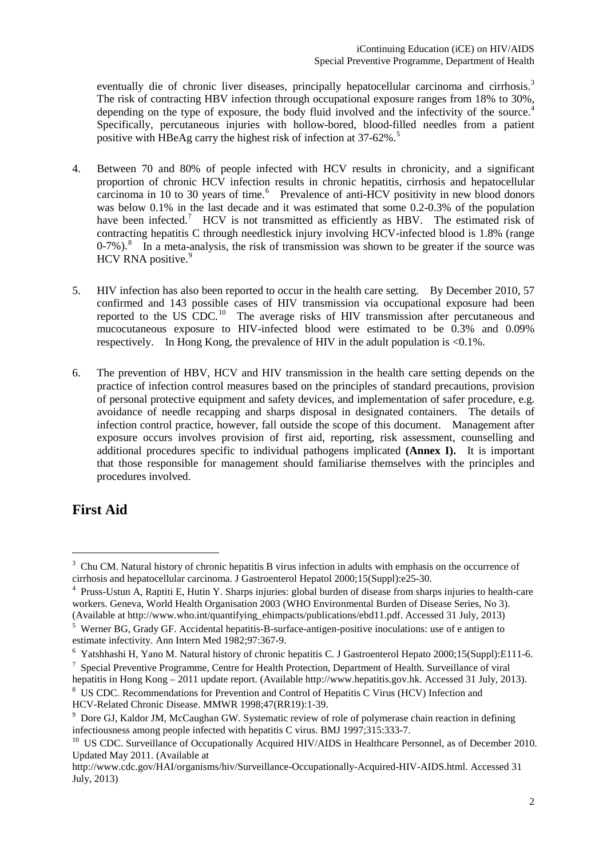eventually die of chronic liver diseases, principally hepatocellular carcinoma and cirrhosis.<sup>[3](#page-1-0)</sup> The risk of contracting HBV infection through occupational exposure ranges from 18% to 30%, depending on the type of exposure, the body fluid involved and the infectivity of the source.<sup>[4](#page-1-1)</sup> Specifically, percutaneous injuries with hollow-bored, blood-filled needles from a patient positive with HBeAg carry the highest risk of infection at 37-62%.<sup>[5](#page-1-2)</sup>

- 4. Between 70 and 80% of people infected with HCV results in chronicity, and a significant proportion of chronic HCV infection results in chronic hepatitis, cirrhosis and hepatocellular carcinoma in 10 to 30 years of time.<sup>[6](#page-1-3)</sup> Prevalence of anti-HCV positivity in new blood donors was below 0.1% in the last decade and it was estimated that some 0.2-0.3% of the population have been infected.<sup>[7](#page-1-4)</sup> HCV is not transmitted as efficiently as HBV. The estimated risk of contracting hepatitis C through needlestick injury involving HCV-infected blood is 1.8% (range  $0-7\%$ ).<sup>[8](#page-1-5)</sup> In a meta-analysis, the risk of transmission was shown to be greater if the source was HCV RNA positive.<sup>[9](#page-1-6)</sup>
- 5. HIV infection has also been reported to occur in the health care setting. By December 2010, 57 confirmed and 143 possible cases of HIV transmission via occupational exposure had been reported to the US CDC.<sup>[10](#page-1-7)</sup> The average risks of HIV transmission after percutaneous and mucocutaneous exposure to HIV-infected blood were estimated to be 0.3% and 0.09% respectively. In Hong Kong, the prevalence of HIV in the adult population is  $\langle 0.1\% \rangle$ .
- 6. The prevention of HBV, HCV and HIV transmission in the health care setting depends on the practice of infection control measures based on the principles of standard precautions, provision of personal protective equipment and safety devices, and implementation of safer procedure, e.g. avoidance of needle recapping and sharps disposal in designated containers. The details of infection control practice, however, fall outside the scope of this document. Management after exposure occurs involves provision of first aid, reporting, risk assessment, counselling and additional procedures specific to individual pathogens implicated **(Annex I).** It is important that those responsible for management should familiarise themselves with the principles and procedures involved.

## **First Aid**

<span id="page-1-5"></span>

<span id="page-1-0"></span><sup>&</sup>lt;sup>3</sup> Chu CM. Natural history of chronic hepatitis B virus infection in adults with emphasis on the occurrence of cirrhosis and hepatocellular carcinoma. J Gastroenterol Hepatol  $2000:15(Suvpl):e25-30$ .

<span id="page-1-1"></span><sup>&</sup>lt;sup>4</sup> Pruss-Ustun A, Raptiti E, Hutin Y. Sharps injuries: global burden of disease from sharps injuries to health-care workers. Geneva, World Health Organisation 2003 (WHO Environmental Burden of Disease Series, No 3).

<span id="page-1-2"></span><sup>(</sup>Available at http://www.who.int/quantifying\_ehimpacts/publications/ebd11.pdf. Accessed 31 July, 2013)<br>
<sup>5</sup> Werner BG, Grady GF. Accidental hepatitis-B-surface-antigen-positive inoculations: use of e antigen to estimate i

<span id="page-1-3"></span><sup>&</sup>lt;sup>6</sup> Yatshhashi H, Yano M. Natural history of chronic hepatitis C. J Gastroenterol Hepato 2000;15(Suppl):E111-6.<br><sup>7</sup> Special Preventive Programme. Centre for Health Protection. Department of Health. Surveillance of viral

<span id="page-1-4"></span>hepatitis in Hong Kong – 2011 update report. (Available http://www.hepatitis.gov.hk. Accessed 31 July, 2013).<br><sup>8</sup> US CDC. Recommendations for Prevention and Control of Hepatitis C Virus (HCV) Infection and HCV-Related Chro

<span id="page-1-6"></span> $\degree$  Dore GJ, Kaldor JM, McCaughan GW. Systematic review of role of polymerase chain reaction in defining infectiousness among people infected with hepatitis C virus. BMJ 1997;315:333-7.

<span id="page-1-7"></span><sup>&</sup>lt;sup>10</sup> US CDC. Surveillance of Occupationally Acquired HIV/AIDS in Healthcare Personnel, as of December 2010. Updated May 2011. (Available at

http://www.cdc.gov/HAI/organisms/hiv/Surveillance-Occupationally-Acquired-HIV-AIDS.html. Accessed 31 July, 2013)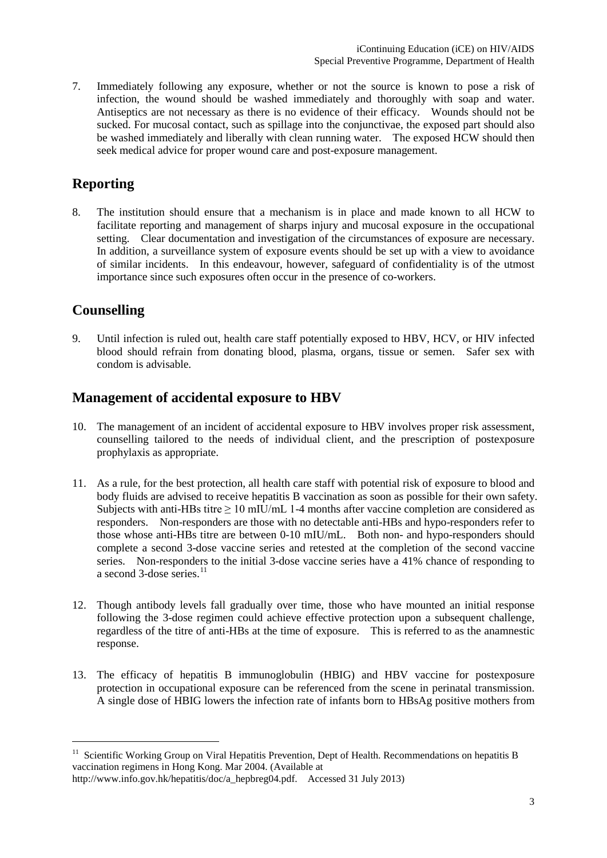7. Immediately following any exposure, whether or not the source is known to pose a risk of infection, the wound should be washed immediately and thoroughly with soap and water. Antiseptics are not necessary as there is no evidence of their efficacy. Wounds should not be sucked. For mucosal contact, such as spillage into the conjunctivae, the exposed part should also be washed immediately and liberally with clean running water. The exposed HCW should then seek medical advice for proper wound care and post-exposure management.

## **Reporting**

8. The institution should ensure that a mechanism is in place and made known to all HCW to facilitate reporting and management of sharps injury and mucosal exposure in the occupational setting. Clear documentation and investigation of the circumstances of exposure are necessary. In addition, a surveillance system of exposure events should be set up with a view to avoidance of similar incidents. In this endeavour, however, safeguard of confidentiality is of the utmost importance since such exposures often occur in the presence of co-workers.

## **Counselling**

-

9. Until infection is ruled out, health care staff potentially exposed to HBV, HCV, or HIV infected blood should refrain from donating blood, plasma, organs, tissue or semen. Safer sex with condom is advisable.

## **Management of accidental exposure to HBV**

- 10. The management of an incident of accidental exposure to HBV involves proper risk assessment, counselling tailored to the needs of individual client, and the prescription of postexposure prophylaxis as appropriate.
- 11. As a rule, for the best protection, all health care staff with potential risk of exposure to blood and body fluids are advised to receive hepatitis B vaccination as soon as possible for their own safety. Subjects with anti-HBs titre ≥ 10 mIU/mL 1-4 months after vaccine completion are considered as responders. Non-responders are those with no detectable anti-HBs and hypo-responders refer to those whose anti-HBs titre are between 0-10 mIU/mL. Both non- and hypo-responders should complete a second 3-dose vaccine series and retested at the completion of the second vaccine series. Non-responders to the initial 3-dose vaccine series have a 41% chance of responding to a second 3-dose series. $^{11}$  $^{11}$  $^{11}$
- 12. Though antibody levels fall gradually over time, those who have mounted an initial response following the 3-dose regimen could achieve effective protection upon a subsequent challenge, regardless of the titre of anti-HBs at the time of exposure. This is referred to as the anamnestic response.
- 13. The efficacy of hepatitis B immunoglobulin (HBIG) and HBV vaccine for postexposure protection in occupational exposure can be referenced from the scene in perinatal transmission. A single dose of HBIG lowers the infection rate of infants born to HBsAg positive mothers from

<span id="page-2-0"></span><sup>&</sup>lt;sup>11</sup> Scientific Working Group on Viral Hepatitis Prevention, Dept of Health. Recommendations on hepatitis B vaccination regimens in Hong Kong. Mar 2004. (Available at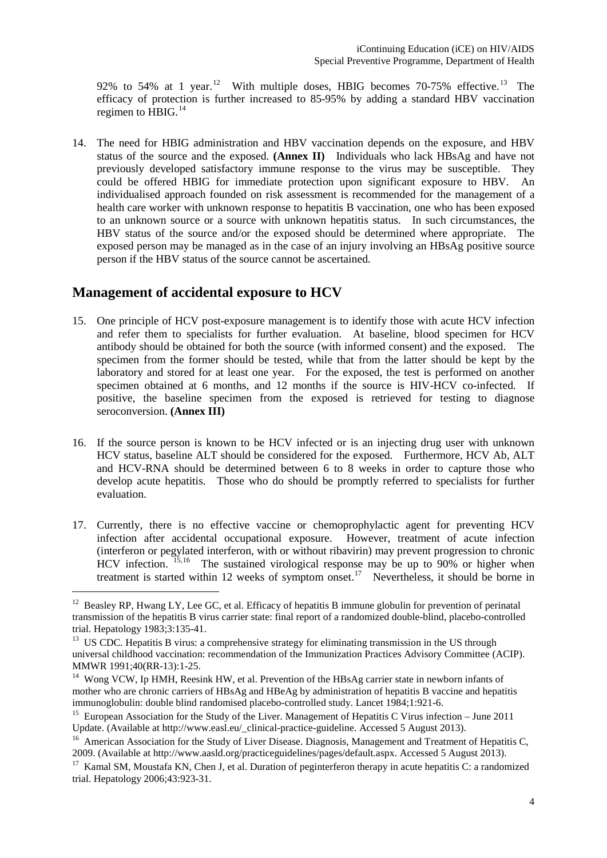92% to 54% at 1 year.<sup>[12](#page-3-0)</sup> With multiple doses, HBIG becomes 70-75% effective.<sup>[13](#page-3-1)</sup> The efficacy of protection is further increased to 85-95% by adding a standard HBV vaccination regimen to  $H$ BIG.<sup>[14](#page-3-2)</sup>

14. The need for HBIG administration and HBV vaccination depends on the exposure, and HBV status of the source and the exposed. **(Annex II)** Individuals who lack HBsAg and have not previously developed satisfactory immune response to the virus may be susceptible. They could be offered HBIG for immediate protection upon significant exposure to HBV. An individualised approach founded on risk assessment is recommended for the management of a health care worker with unknown response to hepatitis B vaccination, one who has been exposed to an unknown source or a source with unknown hepatitis status. In such circumstances, the HBV status of the source and/or the exposed should be determined where appropriate. The exposed person may be managed as in the case of an injury involving an HBsAg positive source person if the HBV status of the source cannot be ascertained.

### **Management of accidental exposure to HCV**

-

- 15. One principle of HCV post-exposure management is to identify those with acute HCV infection and refer them to specialists for further evaluation. At baseline, blood specimen for HCV antibody should be obtained for both the source (with informed consent) and the exposed. The specimen from the former should be tested, while that from the latter should be kept by the laboratory and stored for at least one year. For the exposed, the test is performed on another specimen obtained at 6 months, and 12 months if the source is HIV-HCV co-infected. If positive, the baseline specimen from the exposed is retrieved for testing to diagnose seroconversion. **(Annex III)**
- 16. If the source person is known to be HCV infected or is an injecting drug user with unknown HCV status, baseline ALT should be considered for the exposed. Furthermore, HCV Ab, ALT and HCV-RNA should be determined between 6 to 8 weeks in order to capture those who develop acute hepatitis. Those who do should be promptly referred to specialists for further evaluation.
- 17. Currently, there is no effective vaccine or chemoprophylactic agent for preventing HCV infection after accidental occupational exposure. However, treatment of acute infection (interferon or pegylated interferon, with or without ribavirin) may prevent progression to chronic HCV infection. <sup>[15](#page-3-3),[16](#page-3-4)</sup> The sustained virological response may be up to 90% or higher when treatment is started within 12 weeks of symptom onset.<sup>17</sup> Nevertheless, it should be borne in

<span id="page-3-0"></span><sup>&</sup>lt;sup>12</sup> Beasley RP, Hwang LY, Lee GC, et al. Efficacy of hepatitis B immune globulin for prevention of perinatal transmission of the hepatitis B virus carrier state: final report of a randomized double-blind, placebo-controlled trial. Hepatology 1983;3:135-41.<br><sup>13</sup> US CDC. Hepatitis B virus: a comprehensive strategy for eliminating transmission in the US through

<span id="page-3-1"></span>universal childhood vaccination: recommendation of the Immunization Practices Advisory Committee (ACIP).<br>MMWR 1991;40(RR-13):1-25.

<span id="page-3-2"></span> $14$  Wong VCW, Ip HMH, Reesink HW, et al. Prevention of the HBsAg carrier state in newborn infants of mother who are chronic carriers of HBsAg and HBeAg by administration of hepatitis B vaccine and hepatitis immunoglobulin: double blind randomised placebo-controlled study. Lancet 1984;1:921-6.

<span id="page-3-3"></span><sup>&</sup>lt;sup>15</sup> European Association for the Study of the Liver. Management of Hepatitis C Virus infection – June 2011 Update. (Available at http://www.easl.eu/\_clinical-practice-guideline. Accessed 5 August 2013).

<span id="page-3-4"></span><sup>&</sup>lt;sup>16</sup> American Association for the Study of Liver Disease. Diagnosis, Management and Treatment of Hepatitis C, 2009. (Available at http://www.aasld.org/practiceguidelines/pages/default.aspx. Accessed 5 August 2013).

<span id="page-3-5"></span><sup>&</sup>lt;sup>17</sup> Kamal SM, Moustafa KN, Chen J, et al. Duration of peginterferon therapy in acute hepatitis C: a randomized trial. Hepatology 2006;43:923-31.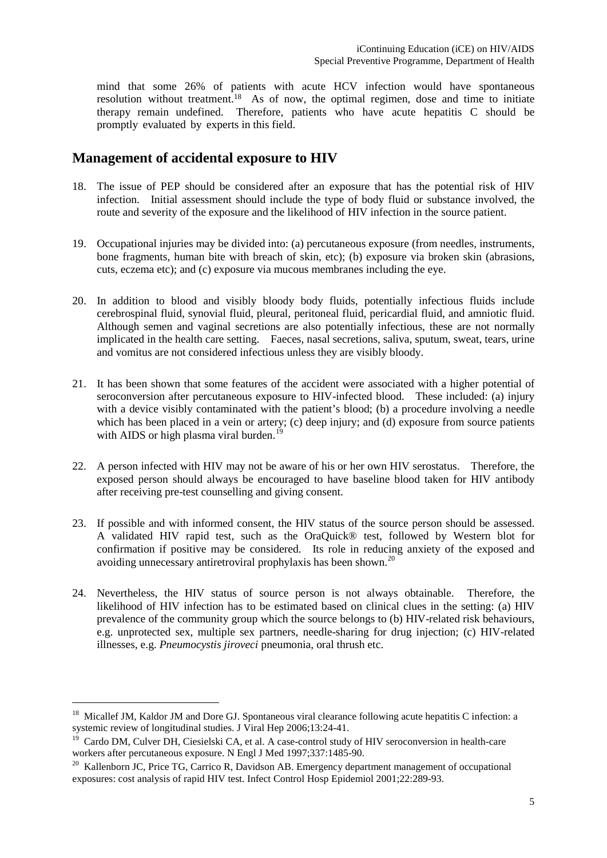mind that some 26% of patients with acute HCV infection would have spontaneous resolution withou[t tr](#page-4-0)eatment.<sup>18</sup> As of now, the optimal regimen, dose and time to initiate therapy remain undefined. Therefore, patients who have acute hepatitis C should be promptly evaluated by experts in this field.

### **Management of accidental exposure to HIV**

- 18. The issue of PEP should be considered after an exposure that has the potential risk of HIV infection. Initial assessment should include the type of body fluid or substance involved, the route and severity of the exposure and the likelihood of HIV infection in the source patient.
- 19. Occupational injuries may be divided into: (a) percutaneous exposure (from needles, instruments, bone fragments, human bite with breach of skin, etc); (b) exposure via broken skin (abrasions, cuts, eczema etc); and (c) exposure via mucous membranes including the eye.
- 20. In addition to blood and visibly bloody body fluids, potentially infectious fluids include cerebrospinal fluid, synovial fluid, pleural, peritoneal fluid, pericardial fluid, and amniotic fluid. Although semen and vaginal secretions are also potentially infectious, these are not normally implicated in the health care setting. Faeces, nasal secretions, saliva, sputum, sweat, tears, urine and vomitus are not considered infectious unless they are visibly bloody.
- 21. It has been shown that some features of the accident were associated with a higher potential of seroconversion after percutaneous exposure to HIV-infected blood. These included: (a) injury with a device visibly contaminated with the patient's blood; (b) a procedure involving a needle which has been placed in a vein or artery; (c) deep injury; and (d) exposure from source patients with AIDS or high plasma viral burden.<sup>[19](#page-4-1)</sup>
- 22. A person infected with HIV may not be aware of his or her own HIV serostatus. Therefore, the exposed person should always be encouraged to have baseline blood taken for HIV antibody after receiving pre-test counselling and giving consent.
- 23. If possible and with informed consent, the HIV status of the source person should be assessed. A validated HIV rapid test, such as the OraQuick® test, followed by Western blot for confirmation if positive may be considered. Its role in reducing anxiety of the exposed and avoiding unnecessary antiretroviral prophylaxis has been shown.[20](#page-4-2)
- 24. Nevertheless, the HIV status of source person is not always obtainable. Therefore, the likelihood of HIV infection has to be estimated based on clinical clues in the setting: (a) HIV prevalence of the community group which the source belongs to (b) HIV-related risk behaviours, e.g. unprotected sex, multiple sex partners, needle-sharing for drug injection; (c) HIV-related illnesses, e.g. *Pneumocystis jiroveci* pneumonia, oral thrush etc.

<span id="page-4-0"></span><sup>&</sup>lt;sup>18</sup> Micallef JM, Kaldor JM and Dore GJ. Spontaneous viral clearance following acute hepatitis C infection: a systemic review of longitudinal studies. J Viral Hep 2006;13:24-41.

<span id="page-4-1"></span><sup>&</sup>lt;sup>19</sup> Cardo DM, Culver DH, Ciesielski CA, et al. A case-control study of HIV seroconversion in health-care workers after percutaneous exposure. N Engl J Med 1997:337:1485-90.

<span id="page-4-2"></span> $^{20}$  Kallenborn JC, Price TG, Carrico R, Davidson AB. Emergency department management of occupational exposures: cost analysis of rapid HIV test. Infect Control Hosp Epidemiol 2001;22:289-93.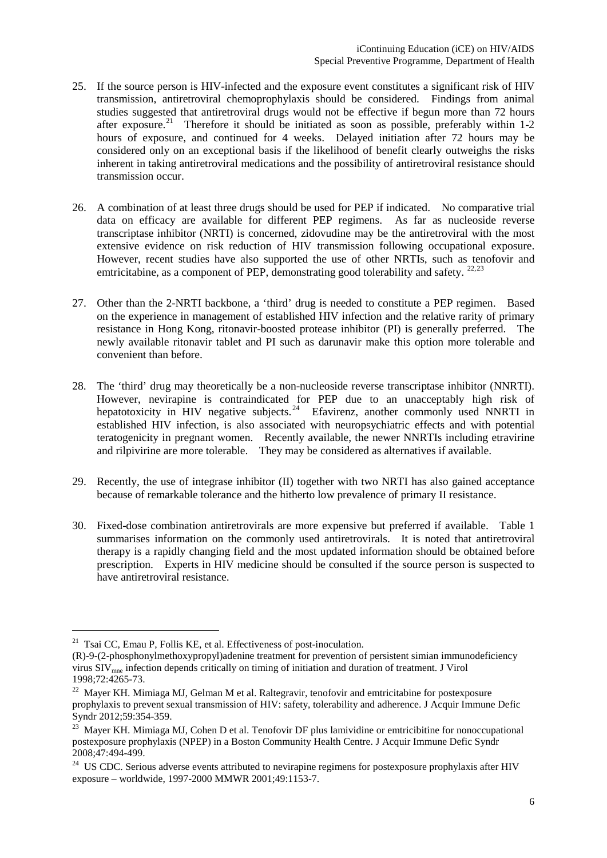- 25. If the source person is HIV-infected and the exposure event constitutes a significant risk of HIV transmission, antiretroviral chemoprophylaxis should be considered. Findings from animal studies suggested that antiretroviral drugs would not be effective if begun more than 72 hours after exposure.<sup>21</sup> Therefore it should be initiated as soon as possible, preferably within  $1-2$ hours of exposure, and continued for 4 weeks. Delayed initiation after 72 hours may be considered only on an exceptional basis if the likelihood of benefit clearly outweighs the risks inherent in taking antiretroviral medications and the possibility of antiretroviral resistance should transmission occur.
- 26. A combination of at least three drugs should be used for PEP if indicated. No comparative trial data on efficacy are available for different PEP regimens. As far as nucleoside reverse transcriptase inhibitor (NRTI) is concerned, zidovudine may be the antiretroviral with the most extensive evidence on risk reduction of HIV transmission following occupational exposure. However, recent studies have also supported the use of other NRTIs, such as tenofovir and emtricitabine, as a component of PEP, demonstrating good tolerability and safety.  $^{22,23}$  $^{22,23}$  $^{22,23}$  $^{22,23}$  $^{22,23}$
- 27. Other than the 2-NRTI backbone, a 'third' drug is needed to constitute a PEP regimen. Based on the experience in management of established HIV infection and the relative rarity of primary resistance in Hong Kong, ritonavir-boosted protease inhibitor (PI) is generally preferred. The newly available ritonavir tablet and PI such as darunavir make this option more tolerable and convenient than before.
- 28. The 'third' drug may theoretically be a non-nucleoside reverse transcriptase inhibitor (NNRTI). However, nevirapine is contraindicated for PEP due to an unacceptably high risk of hepatotoxicity in HIV negative subjects.<sup>[24](#page-5-3)</sup> Efavirenz, another commonly used NNRTI in established HIV infection, is also associated with neuropsychiatric effects and with potential teratogenicity in pregnant women. Recently available, the newer NNRTIs including etravirine and rilpivirine are more tolerable. They may be considered as alternatives if available.
- 29. Recently, the use of integrase inhibitor (II) together with two NRTI has also gained acceptance because of remarkable tolerance and the hitherto low prevalence of primary II resistance.
- 30. Fixed-dose combination antiretrovirals are more expensive but preferred if available. Table 1 summarises information on the commonly used antiretrovirals. It is noted that antiretroviral therapy is a rapidly changing field and the most updated information should be obtained before prescription. Experts in HIV medicine should be consulted if the source person is suspected to have antiretroviral resistance.

<span id="page-5-0"></span><sup>&</sup>lt;sup>21</sup> Tsai CC, Emau P, Follis KE, et al. Effectiveness of post-inoculation.

<sup>(</sup>R)-9-(2-phosphonylmethoxypropyl)adenine treatment for prevention of persistent simian immunodeficiency virus SIVmne infection depends critically on timing of initiation and duration of treatment. J Virol 1998;72:4265-73.

<span id="page-5-1"></span><sup>&</sup>lt;sup>22</sup> Maver KH. Mimiaga MJ, Gelman M et al. Raltegravir, tenofovir and emtricitabine for postexposure prophylaxis to prevent sexual transmission of HIV: safety, tolerability and adherence. J Acquir Immune Defic Syndr 2012;59:354-359.

<span id="page-5-2"></span><sup>&</sup>lt;sup>23</sup> Maver KH. Mimiaga MJ, Cohen D et al. Tenofovir DF plus lamividine or emtricibitine for nonoccupational postexposure prophylaxis (NPEP) in a Boston Community Health Centre. J Acquir Immune Defic Syndr 2008;47:494-499.

<span id="page-5-3"></span><sup>&</sup>lt;sup>24</sup> US CDC. Serious adverse events attributed to nevirapine regimens for postexposure prophylaxis after HIV exposure – worldwide, 1997-2000 MMWR 2001;49:1153-7.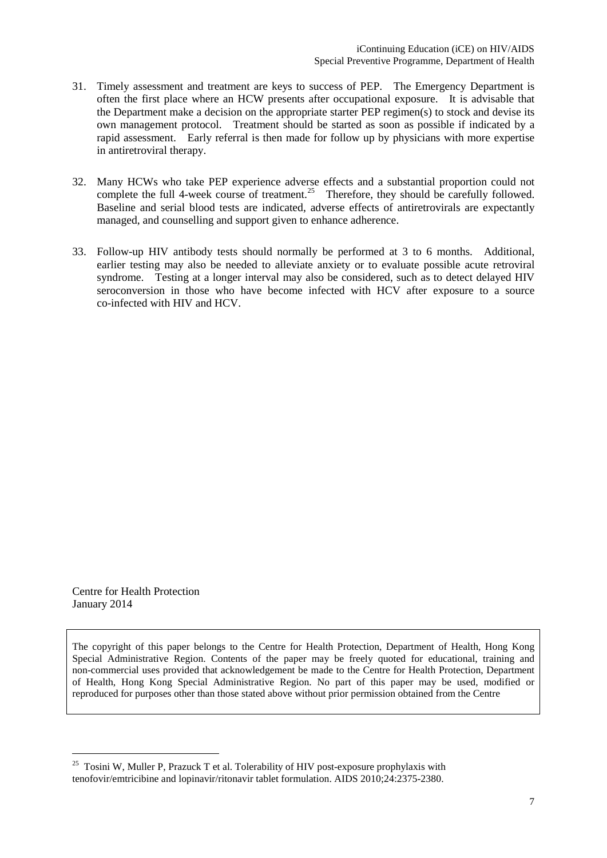- 31. Timely assessment and treatment are keys to success of PEP. The Emergency Department is often the first place where an HCW presents after occupational exposure. It is advisable that the Department make a decision on the appropriate starter PEP regimen(s) to stock and devise its own management protocol. Treatment should be started as soon as possible if indicated by a rapid assessment. Early referral is then made for follow up by physicians with more expertise in antiretroviral therapy.
- 32. Many HCWs who take PEP experience adverse effects and a substantial proportion could not complete the full 4-week course of treatment.<sup>25</sup> Therefore, they should be carefully followed. Baseline and serial blood tests are indicated, adverse effects of antiretrovirals are expectantly managed, and counselling and support given to enhance adherence.
- 33. Follow-up HIV antibody tests should normally be performed at 3 to 6 months. Additional, earlier testing may also be needed to alleviate anxiety or to evaluate possible acute retroviral syndrome. Testing at a longer interval may also be considered, such as to detect delayed HIV seroconversion in those who have become infected with HCV after exposure to a source co-infected with HIV and HCV.

Centre for Health Protection January 2014

The copyright of this paper belongs to the Centre for Health Protection, Department of Health, Hong Kong Special Administrative Region. Contents of the paper may be freely quoted for educational, training and non-commercial uses provided that acknowledgement be made to the Centre for Health Protection, Department of Health, Hong Kong Special Administrative Region. No part of this paper may be used, modified or reproduced for purposes other than those stated above without prior permission obtained from the Centre

<span id="page-6-0"></span><sup>&</sup>lt;sup>25</sup> Tosini W, Muller P, Prazuck T et al. Tolerability of HIV post-exposure prophylaxis with tenofovir/emtricibine and lopinavir/ritonavir tablet formulation. AIDS 2010;24:2375-2380.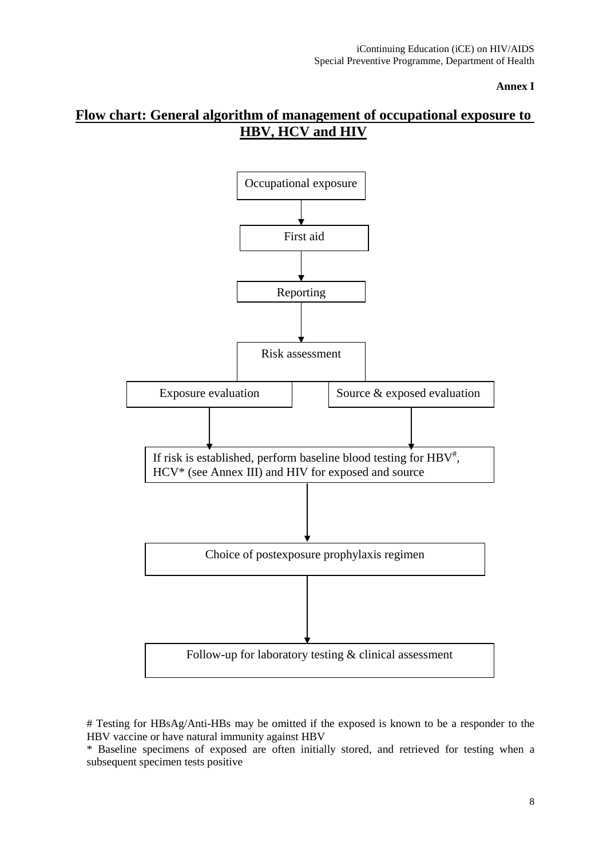**Annex I**

## **Flow chart: General algorithm of management of occupational exposure to HBV, HCV and HIV**



<sup>#</sup> Testing for HBsAg/Anti-HBs may be omitted if the exposed is known to be a responder to the HBV vaccine or have natural immunity against HBV

<sup>\*</sup> Baseline specimens of exposed are often initially stored, and retrieved for testing when a subsequent specimen tests positive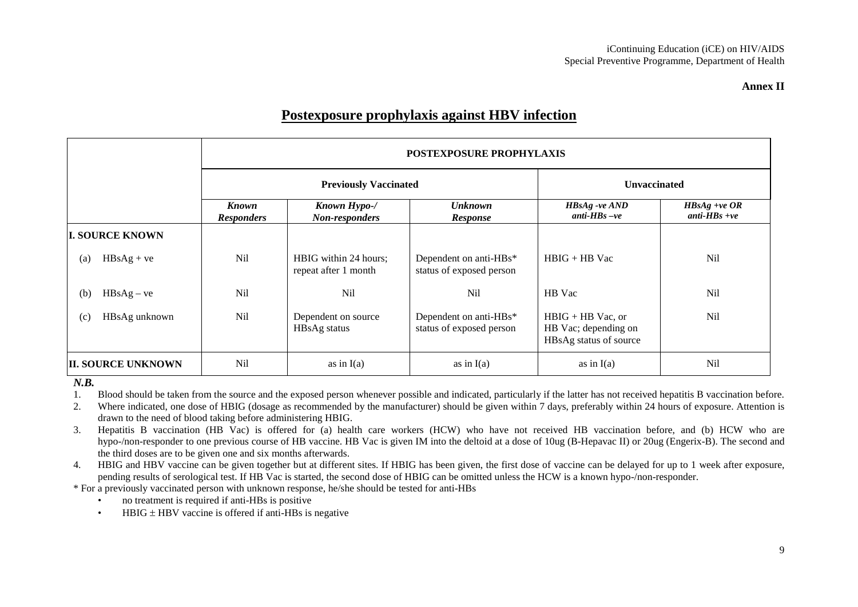#### **Annex II**

## **Postexposure prophylaxis against HBV infection**

|                           |                                   | <b>POSTEXPOSURE PROPHYLAXIS</b>               |                                                    |                                                                       |                                   |  |  |  |
|---------------------------|-----------------------------------|-----------------------------------------------|----------------------------------------------------|-----------------------------------------------------------------------|-----------------------------------|--|--|--|
|                           |                                   | <b>Previously Vaccinated</b>                  |                                                    |                                                                       | Unvaccinated                      |  |  |  |
|                           | <b>Known</b><br><b>Responders</b> | Known Hypo-/<br>Non-responders                | <b>Unknown</b><br><b>Response</b>                  | <b>HBsAg</b> -ve AND<br>anti- $HBs$ -ve                               | $HBsAg +ve OR$<br>anti- $HBs +ve$ |  |  |  |
| <b>I. SOURCE KNOWN</b>    |                                   |                                               |                                                    |                                                                       |                                   |  |  |  |
| $HBsAg + ve$<br>(a)       | <b>Nil</b>                        | HBIG within 24 hours;<br>repeat after 1 month | Dependent on anti-HBs*<br>status of exposed person | $H B I G + H B V a c$                                                 | N <sub>il</sub>                   |  |  |  |
| $HBsAg - ve$<br>(b)       | <b>Nil</b>                        | N <sub>i</sub>                                | N <sub>i</sub>                                     | HB Vac                                                                | <b>Nil</b>                        |  |  |  |
| HBsAg unknown<br>(c)      | <b>Nil</b>                        | Dependent on source<br>HBsAg status           | Dependent on anti-HBs*<br>status of exposed person | $HBIG + HB$ Vac, or<br>HB Vac; depending on<br>HBsAg status of source | <b>Nil</b>                        |  |  |  |
| <b>II. SOURCE UNKNOWN</b> | Nil                               | as in $I(a)$                                  | as in $I(a)$                                       | as in $I(a)$                                                          | N <sub>il</sub>                   |  |  |  |

#### *N.B.*

1. Blood should be taken from the source and the exposed person whenever possible and indicated, particularly if the latter has not received hepatitis B vaccination before.

2. Where indicated, one dose of HBIG (dosage as recommended by the manufacturer) should be given within 7 days, preferably within 24 hours of exposure. Attention is drawn to the need of blood taking before administering HBIG.

3. Hepatitis B vaccination (HB Vac) is offered for (a) health care workers (HCW) who have not received HB vaccination before, and (b) HCW who are hypo-/non-responder to one previous course of HB vaccine. HB Vac is given IM into the deltoid at a dose of 10ug (B-Hepavac II) or 20ug (Engerix-B). The second and the third doses are to be given one and six months afterwards.

4. HBIG and HBV vaccine can be given together but at different sites. If HBIG has been given, the first dose of vaccine can be delayed for up to 1 week after exposure, pending results of serological test. If HB Vac is started, the second dose of HBIG can be omitted unless the HCW is a known hypo-/non-responder.

\* For a previously vaccinated person with unknown response, he/she should be tested for anti-HBs

- no treatment is required if anti-HBs is positive
- HBIG  $\pm$  HBV vaccine is offered if anti-HBs is negative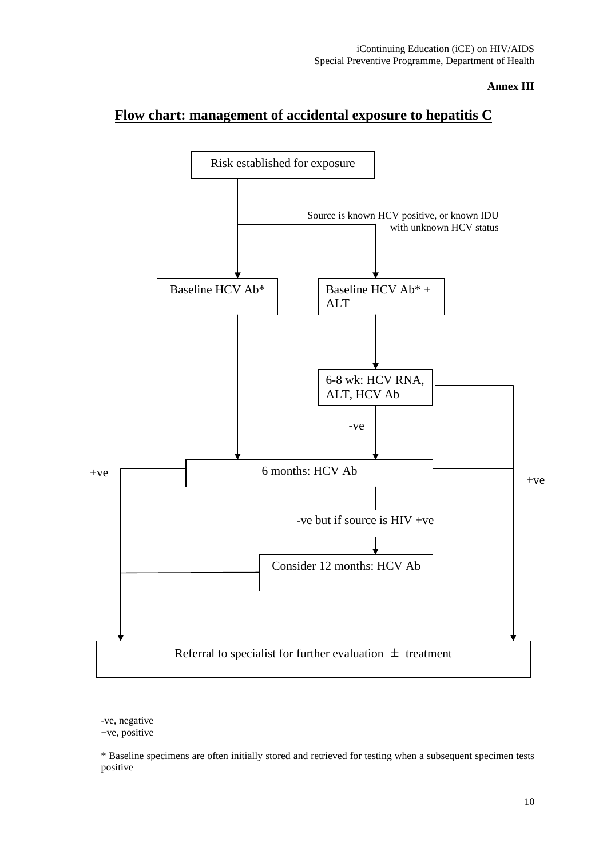#### **Annex III**

## **Flow chart: management of accidental exposure to hepatitis C**



-ve, negative +ve, positive

\* Baseline specimens are often initially stored and retrieved for testing when a subsequent specimen tests positive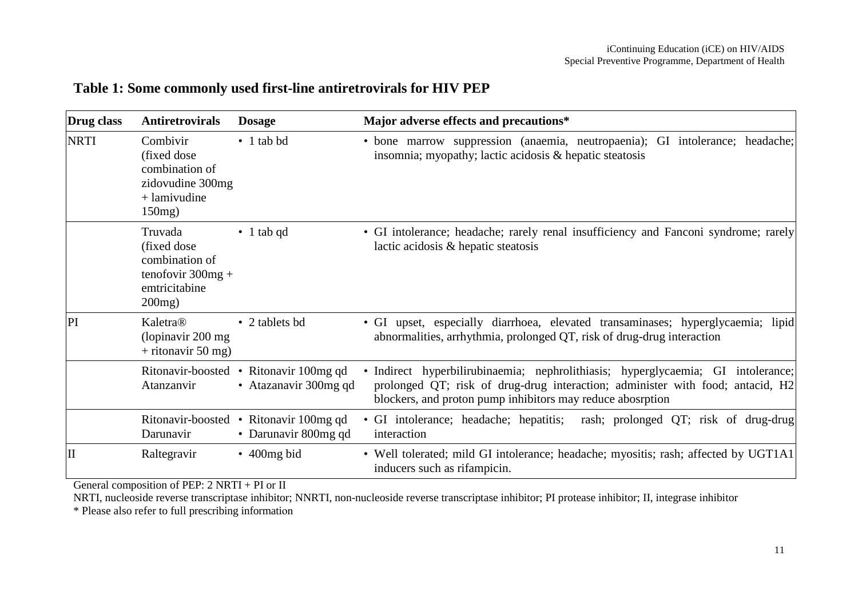| Table 1: Some commonly used first-line antiretrovirals for HIV PEP |  |  |
|--------------------------------------------------------------------|--|--|
|--------------------------------------------------------------------|--|--|

| Drug class  | <b>Antiretrovirals</b>                                                                         | <b>Dosage</b>                                                   | Major adverse effects and precautions*                                                                                                                                                                                           |
|-------------|------------------------------------------------------------------------------------------------|-----------------------------------------------------------------|----------------------------------------------------------------------------------------------------------------------------------------------------------------------------------------------------------------------------------|
| <b>NRTI</b> | Combivir<br>(fixed dose)<br>combination of<br>zidovudine 300mg<br>$+$ lamivudine<br>$150mg$ )  | $\bullet$ 1 tab bd                                              | • bone marrow suppression (anaemia, neutropaenia); GI intolerance; headache;<br>insomnia; myopathy; lactic acidosis & hepatic steatosis                                                                                          |
|             | Truvada<br>(fixed dose)<br>combination of<br>tenofovir $300mg +$<br>emtricitabine<br>$200mg$ ) | $\bullet$ 1 tab qd                                              | • GI intolerance; headache; rarely renal insufficiency and Fanconi syndrome; rarely<br>lactic acidosis & hepatic steatosis                                                                                                       |
| PI          | Kaletra®<br>(lopinavir 200 mg)<br>$+$ ritonavir 50 mg)                                         | • 2 tablets bd                                                  | • GI upset, especially diarrhoea, elevated transaminases; hyperglycaemia; lipid<br>abnormalities, arrhythmia, prolonged QT, risk of drug-drug interaction                                                                        |
|             | Atanzanvir                                                                                     | Ritonavir-boosted • Ritonavir 100mg qd<br>• Atazanavir 300mg qd | · Indirect hyperbilirubinaemia; nephrolithiasis; hyperglycaemia; GI intolerance;<br>prolonged QT; risk of drug-drug interaction; administer with food; antacid, H2<br>blockers, and proton pump inhibitors may reduce abosrption |
|             | Darunavir                                                                                      | Ritonavir-boosted • Ritonavir 100mg qd<br>• Darunavir 800mg qd  | • GI intolerance; headache; hepatitis;<br>rash; prolonged QT; risk of drug-drug<br>interaction                                                                                                                                   |
| II          | Raltegravir                                                                                    | $\cdot$ 400mg bid                                               | • Well tolerated; mild GI intolerance; headache; myositis; rash; affected by UGT1A1<br>inducers such as rifampicin.                                                                                                              |

General composition of PEP: 2 NRTI + PI or II

NRTI, nucleoside reverse transcriptase inhibitor; NNRTI, non-nucleoside reverse transcriptase inhibitor; PI protease inhibitor; II, integrase inhibitor

\* Please also refer to full prescribing information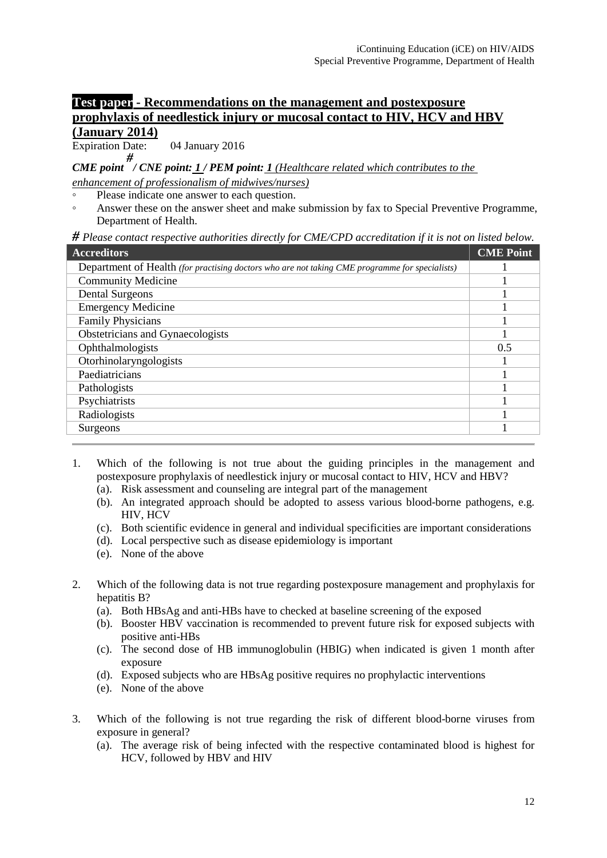#### **Test paper - Recommendations on the management and postexposure prophylaxis of needlestick injury or mucosal contact to HIV, HCV and HBV (January 2014)**

Expiration Date: 04 January 2016

*CME point # / CNE point: 1 / PEM point: 1 (Healthcare related which contributes to the*

*enhancement of professionalism of midwives/nurses)* Please indicate one answer to each question.

◦ Answer these on the answer sheet and make submission by fax to Special Preventive Programme, Department of Health.

*# Please contact respective authorities directly for CME/CPD accreditation if it is not on listed below.*

| <b>Accreditors</b>                                                                             | <b>CME Point</b> |  |  |  |
|------------------------------------------------------------------------------------------------|------------------|--|--|--|
| Department of Health (for practising doctors who are not taking CME programme for specialists) |                  |  |  |  |
| <b>Community Medicine</b>                                                                      |                  |  |  |  |
| <b>Dental Surgeons</b>                                                                         |                  |  |  |  |
| <b>Emergency Medicine</b>                                                                      |                  |  |  |  |
| <b>Family Physicians</b>                                                                       |                  |  |  |  |
| Obstetricians and Gynaecologists                                                               |                  |  |  |  |
| Ophthalmologists                                                                               |                  |  |  |  |
| Otorhinolaryngologists                                                                         |                  |  |  |  |
| Paediatricians                                                                                 |                  |  |  |  |
| Pathologists                                                                                   |                  |  |  |  |
| Psychiatrists                                                                                  |                  |  |  |  |
| Radiologists                                                                                   |                  |  |  |  |
| Surgeons                                                                                       |                  |  |  |  |
|                                                                                                |                  |  |  |  |

- 1. Which of the following is not true about the guiding principles in the management and postexposure prophylaxis of needlestick injury or mucosal contact to HIV, HCV and HBV?
	- (a). Risk assessment and counseling are integral part of the management
	- (b). An integrated approach should be adopted to assess various blood-borne pathogens, e.g. HIV, HCV
	- (c). Both scientific evidence in general and individual specificities are important considerations
	- (d). Local perspective such as disease epidemiology is important
	- (e). None of the above
- 2. Which of the following data is not true regarding postexposure management and prophylaxis for hepatitis B?
	- (a). Both HBsAg and anti-HBs have to checked at baseline screening of the exposed
	- (b). Booster HBV vaccination is recommended to prevent future risk for exposed subjects with positive anti-HBs
	- (c). The second dose of HB immunoglobulin (HBIG) when indicated is given 1 month after exposure
	- (d). Exposed subjects who are HBsAg positive requires no prophylactic interventions
	- (e). None of the above
- 3. Which of the following is not true regarding the risk of different blood-borne viruses from exposure in general?
	- (a). The average risk of being infected with the respective contaminated blood is highest for HCV, followed by HBV and HIV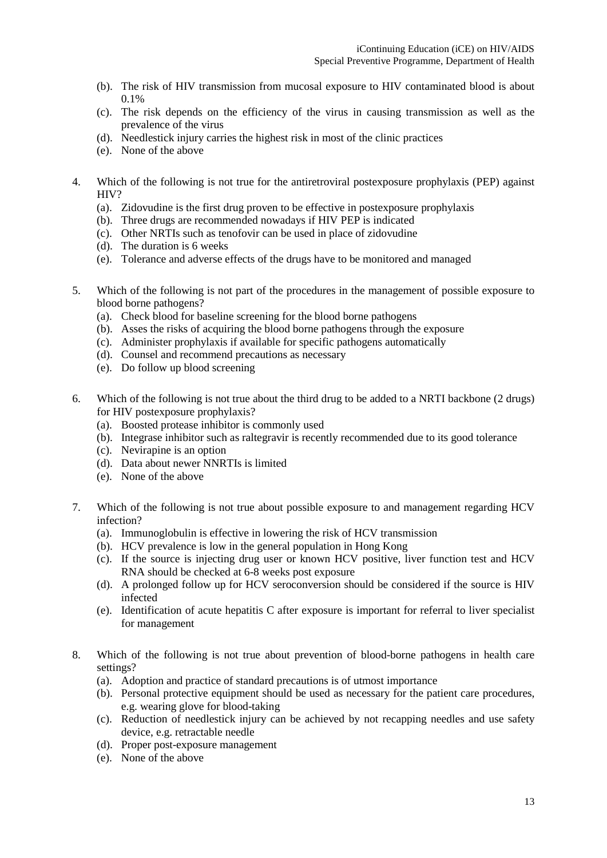- (b). The risk of HIV transmission from mucosal exposure to HIV contaminated blood is about 0.1%
- (c). The risk depends on the efficiency of the virus in causing transmission as well as the prevalence of the virus
- (d). Needlestick injury carries the highest risk in most of the clinic practices
- (e). None of the above
- 4. Which of the following is not true for the antiretroviral postexposure prophylaxis (PEP) against HIV?
	- (a). Zidovudine is the first drug proven to be effective in postexposure prophylaxis
	- (b). Three drugs are recommended nowadays if HIV PEP is indicated
	- (c). Other NRTIs such as tenofovir can be used in place of zidovudine
	- (d). The duration is 6 weeks
	- (e). Tolerance and adverse effects of the drugs have to be monitored and managed
- 5. Which of the following is not part of the procedures in the management of possible exposure to blood borne pathogens?
	- (a). Check blood for baseline screening for the blood borne pathogens
	- (b). Asses the risks of acquiring the blood borne pathogens through the exposure
	- (c). Administer prophylaxis if available for specific pathogens automatically
	- (d). Counsel and recommend precautions as necessary
	- (e). Do follow up blood screening
- 6. Which of the following is not true about the third drug to be added to a NRTI backbone (2 drugs) for HIV postexposure prophylaxis?
	- (a). Boosted protease inhibitor is commonly used
	- (b). Integrase inhibitor such as raltegravir is recently recommended due to its good tolerance
	- (c). Nevirapine is an option
	- (d). Data about newer NNRTIs is limited
	- (e). None of the above
- 7. Which of the following is not true about possible exposure to and management regarding HCV infection?
	- (a). Immunoglobulin is effective in lowering the risk of HCV transmission
	- (b). HCV prevalence is low in the general population in Hong Kong
	- (c). If the source is injecting drug user or known HCV positive, liver function test and HCV RNA should be checked at 6-8 weeks post exposure
	- (d). A prolonged follow up for HCV seroconversion should be considered if the source is HIV infected
	- (e). Identification of acute hepatitis C after exposure is important for referral to liver specialist for management
- 8. Which of the following is not true about prevention of blood-borne pathogens in health care settings?
	- (a). Adoption and practice of standard precautions is of utmost importance
	- (b). Personal protective equipment should be used as necessary for the patient care procedures, e.g. wearing glove for blood-taking
	- (c). Reduction of needlestick injury can be achieved by not recapping needles and use safety device, e.g. retractable needle
	- (d). Proper post-exposure management
	- (e). None of the above